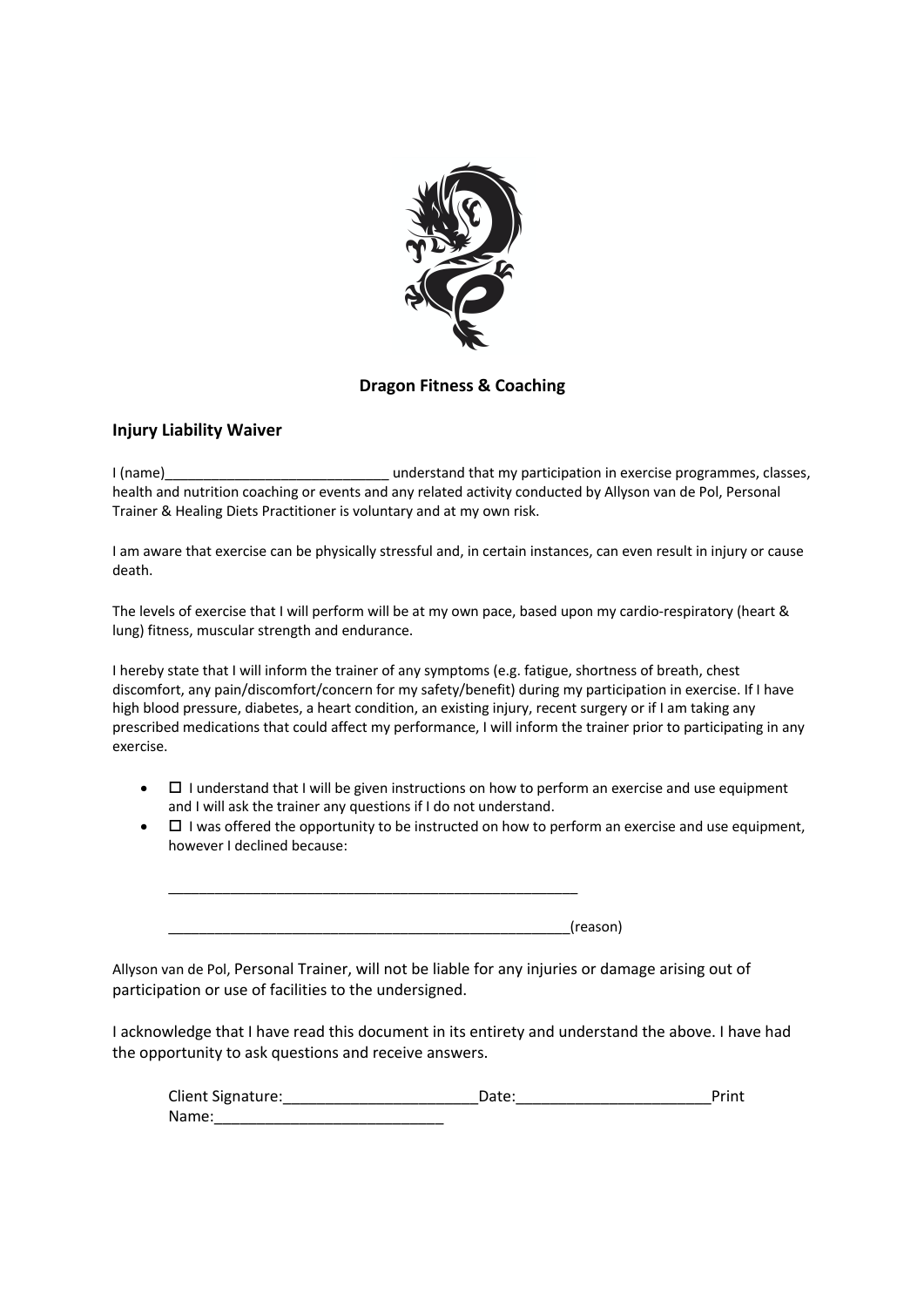

## **Dragon Fitness & Coaching**

### **Injury Liability Waiver**

I (name)\_\_\_\_\_\_\_\_\_\_\_\_\_\_\_\_\_\_\_\_\_\_\_\_\_\_\_\_\_ understand that my participation in exercise programmes, classes, health and nutrition coaching or events and any related activity conducted by Allyson van de Pol, Personal Trainer & Healing Diets Practitioner is voluntary and at my own risk.

I am aware that exercise can be physically stressful and, in certain instances, can even result in injury or cause death.

The levels of exercise that I will perform will be at my own pace, based upon my cardio-respiratory (heart & lung) fitness, muscular strength and endurance.

I hereby state that I will inform the trainer of any symptoms (e.g. fatigue, shortness of breath, chest discomfort, any pain/discomfort/concern for my safety/benefit) during my participation in exercise. If I have high blood pressure, diabetes, a heart condition, an existing injury, recent surgery or if I am taking any prescribed medications that could affect my performance, I will inform the trainer prior to participating in any exercise.

- $\bullet$   $\Box$  I understand that I will be given instructions on how to perform an exercise and use equipment and I will ask the trainer any questions if I do not understand.
- $\bullet$   $\Box$  I was offered the opportunity to be instructed on how to perform an exercise and use equipment, however I declined because:

\_\_\_\_\_\_\_\_\_\_\_\_\_\_\_\_\_\_\_\_\_\_\_\_\_\_\_\_\_\_\_\_\_\_\_\_\_\_\_\_\_\_\_\_\_\_\_\_\_\_\_\_(reason)

\_\_\_\_\_\_\_\_\_\_\_\_\_\_\_\_\_\_\_\_\_\_\_\_\_\_\_\_\_\_\_\_\_\_\_\_\_\_\_\_\_\_\_\_\_\_\_\_\_\_\_\_\_

Allyson van de Pol, Personal Trainer, will not be liable for any injuries or damage arising out of participation or use of facilities to the undersigned.

I acknowledge that I have read this document in its entirety and understand the above. I have had the opportunity to ask questions and receive answers.

| Client Signature: | Date: | Print |
|-------------------|-------|-------|
| Name:             |       |       |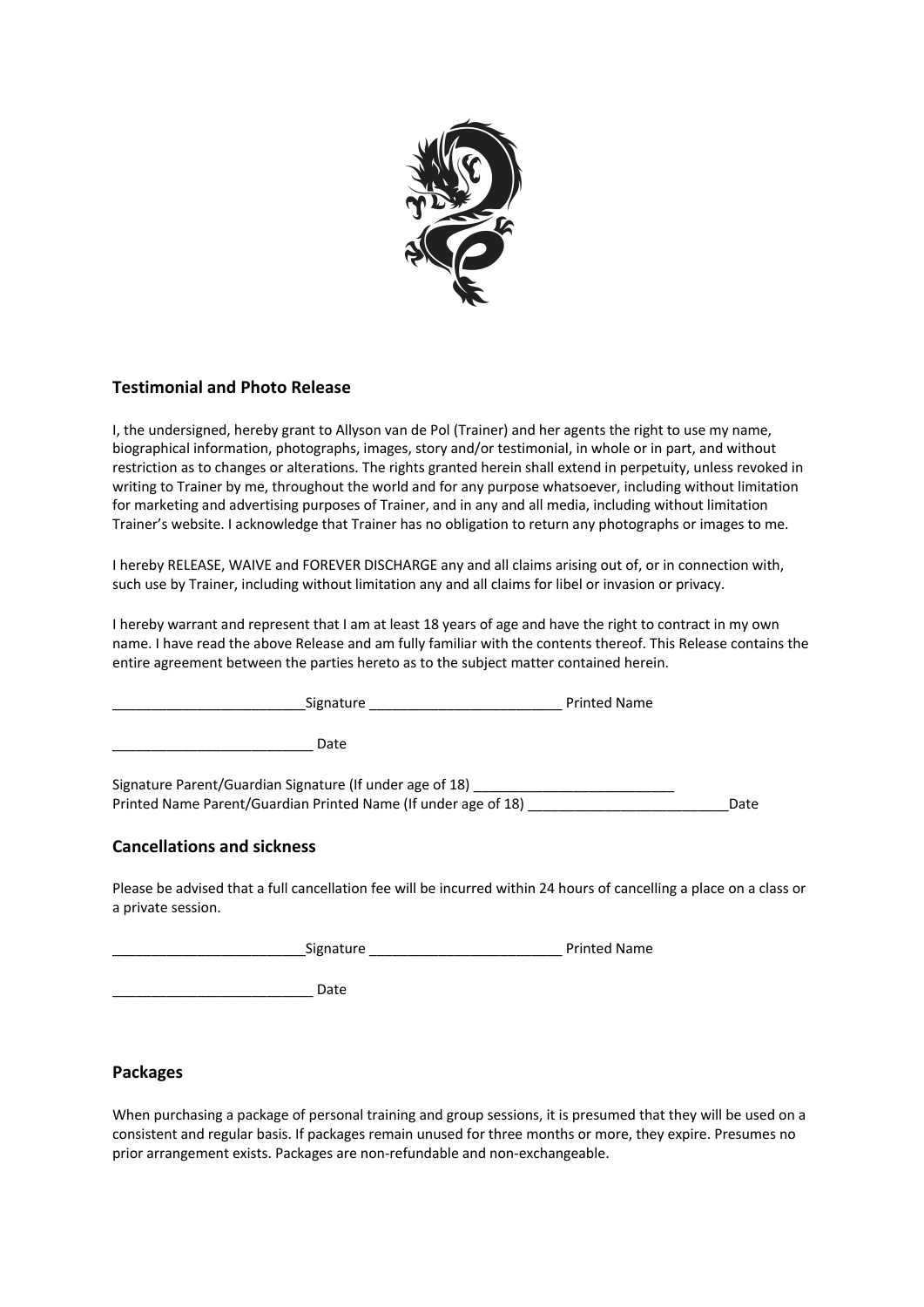

## **Testimonial and Photo Release**

I, the undersigned, hereby grant to Allyson van de Pol (Trainer) and her agents the right to use my name, biographical information, photographs, images, story and/or testimonial, in whole or in part, and without restriction as to changes or alterations. The rights granted herein shall extend in perpetuity, unless revoked in writing to Trainer by me, throughout the world and for any purpose whatsoever, including without limitation for marketing and advertising purposes of Trainer, and in any and all media, including without limitation Trainer's website. I acknowledge that Trainer has no obligation to return any photographs or images to me.

I hereby RELEASE, WAIVE and FOREVER DISCHARGE any and all claims arising out of, or in connection with, such use by Trainer, including without limitation any and all claims for libel or invasion or privacy.

I hereby warrant and represent that I am at least 18 years of age and have the right to contract in my own name. I have read the above Release and am fully familiar with the contents thereof. This Release contains the entire agreement between the parties hereto as to the subject matter contained herein.

| Signature                                                      | <b>Printed Name</b> |
|----------------------------------------------------------------|---------------------|
| Date                                                           |                     |
| Signature Parent/Guardian Signature (If under age of 18)       |                     |
| Printed Name Parent/Guardian Printed Name (If under age of 18) | Date                |
|                                                                |                     |

# **Cancellations and sickness**

Please be advised that a full cancellation fee will be incurred within 24 hours of cancelling a place on a class or a private session.

| Signature | <b>Printed Name</b> |
|-----------|---------------------|
|           |                     |

\_\_\_\_\_\_\_\_\_\_\_\_\_\_\_\_\_\_\_\_\_\_\_\_\_\_ Date

## **Packages**

When purchasing a package of personal training and group sessions, it is presumed that they will be used on a consistent and regular basis. If packages remain unused for three months or more, they expire. Presumes no prior arrangement exists. Packages are non-refundable and non-exchangeable.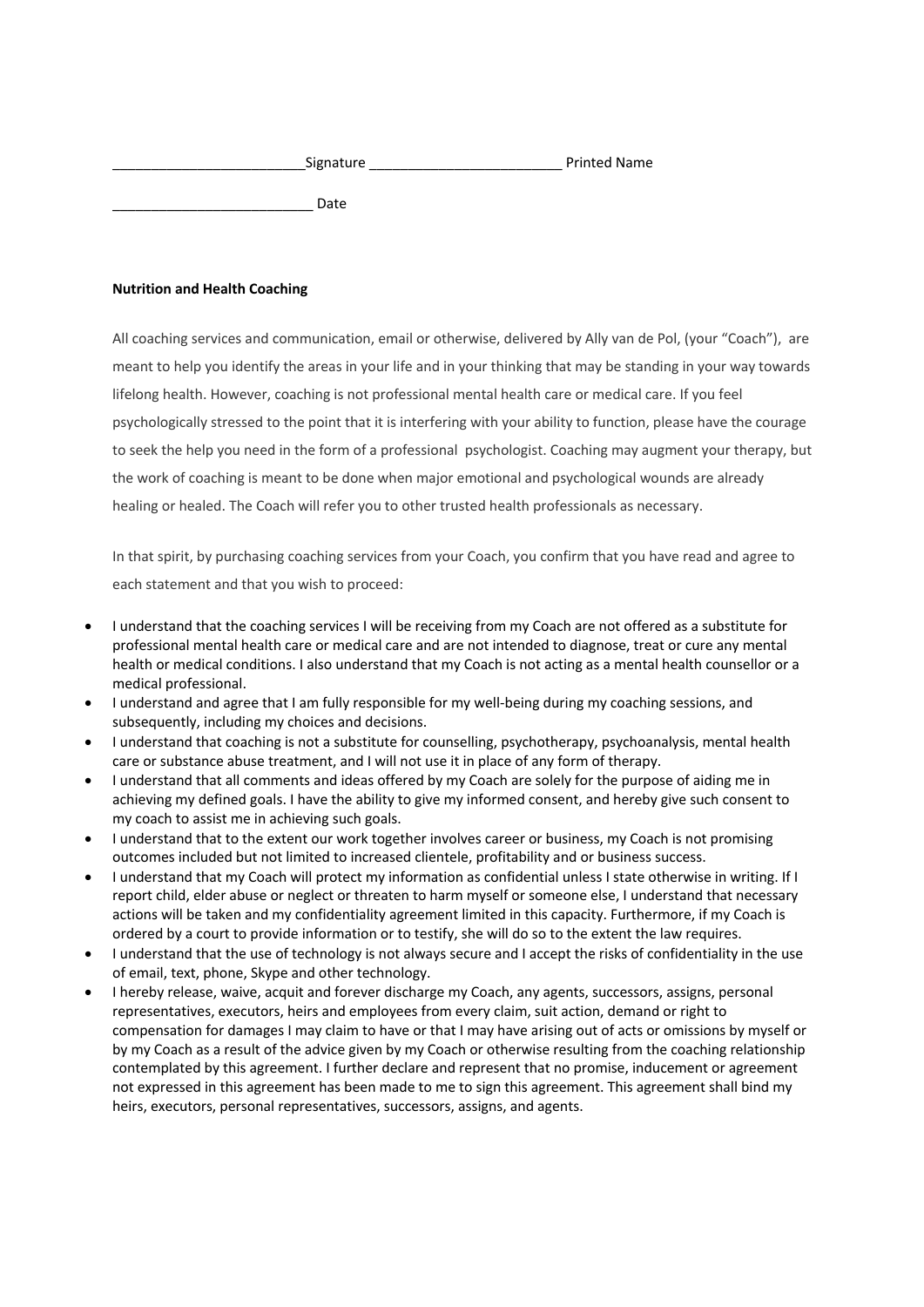| Signature | <b>Printed Name</b> |
|-----------|---------------------|
|           |                     |

Date

#### **Nutrition and Health Coaching**

All coaching services and communication, email or otherwise, delivered by Ally van de Pol, (your "Coach"), are meant to help you identify the areas in your life and in your thinking that may be standing in your way towards lifelong health. However, coaching is not professional mental health care or medical care. If you feel psychologically stressed to the point that it is interfering with your ability to function, please have the courage to seek the help you need in the form of a professional psychologist. Coaching may augment your therapy, but the work of coaching is meant to be done when major emotional and psychological wounds are already healing or healed. The Coach will refer you to other trusted health professionals as necessary.

In that spirit, by purchasing coaching services from your Coach, you confirm that you have read and agree to each statement and that you wish to proceed:

- I understand that the coaching services I will be receiving from my Coach are not offered as a substitute for professional mental health care or medical care and are not intended to diagnose, treat or cure any mental health or medical conditions. I also understand that my Coach is not acting as a mental health counsellor or a medical professional.
- I understand and agree that I am fully responsible for my well-being during my coaching sessions, and subsequently, including my choices and decisions.
- I understand that coaching is not a substitute for counselling, psychotherapy, psychoanalysis, mental health care or substance abuse treatment, and I will not use it in place of any form of therapy.
- I understand that all comments and ideas offered by my Coach are solely for the purpose of aiding me in achieving my defined goals. I have the ability to give my informed consent, and hereby give such consent to my coach to assist me in achieving such goals.
- I understand that to the extent our work together involves career or business, my Coach is not promising outcomes included but not limited to increased clientele, profitability and or business success.
- I understand that my Coach will protect my information as confidential unless I state otherwise in writing. If I report child, elder abuse or neglect or threaten to harm myself or someone else, I understand that necessary actions will be taken and my confidentiality agreement limited in this capacity. Furthermore, if my Coach is ordered by a court to provide information or to testify, she will do so to the extent the law requires.
- I understand that the use of technology is not always secure and I accept the risks of confidentiality in the use of email, text, phone, Skype and other technology.
- I hereby release, waive, acquit and forever discharge my Coach, any agents, successors, assigns, personal representatives, executors, heirs and employees from every claim, suit action, demand or right to compensation for damages I may claim to have or that I may have arising out of acts or omissions by myself or by my Coach as a result of the advice given by my Coach or otherwise resulting from the coaching relationship contemplated by this agreement. I further declare and represent that no promise, inducement or agreement not expressed in this agreement has been made to me to sign this agreement. This agreement shall bind my heirs, executors, personal representatives, successors, assigns, and agents.